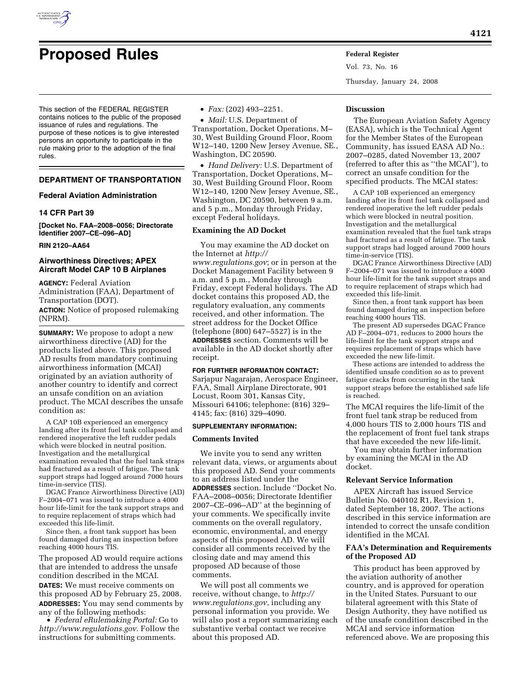

# **Proposed Rules Federal Register**

This section of the FEDERAL REGISTER contains notices to the public of the proposed issuance of rules and regulations. The purpose of these notices is to give interested persons an opportunity to participate in the rule making prior to the adoption of the final rules.

# **DEPARTMENT OF TRANSPORTATION**

# **Federal Aviation Administration**

# **14 CFR Part 39**

**[Docket No. FAA–2008–0056; Directorate Identifier 2007–CE–096–AD]** 

## **RIN 2120–AA64**

# **Airworthiness Directives; APEX Aircraft Model CAP 10 B Airplanes**

**AGENCY:** Federal Aviation Administration (FAA), Department of Transportation (DOT). **ACTION:** Notice of proposed rulemaking (NPRM).

**SUMMARY:** We propose to adopt a new airworthiness directive (AD) for the products listed above. This proposed AD results from mandatory continuing airworthiness information (MCAI) originated by an aviation authority of another country to identify and correct an unsafe condition on an aviation product. The MCAI describes the unsafe condition as:

A CAP 10B experienced an emergency landing after its front fuel tank collapsed and rendered inoperative the left rudder pedals which were blocked in neutral position. Investigation and the metallurgical examination revealed that the fuel tank straps had fractured as a result of fatigue. The tank support straps had logged around 7000 hours time-in-service (TIS).

DGAC France Airworthiness Directive (AD) F–2004–071 was issued to introduce a 4000 hour life-limit for the tank support straps and to require replacement of straps which had exceeded this life-limit.

Since then, a front tank support has been found damaged during an inspection before reaching 4000 hours TIS.

The proposed AD would require actions that are intended to address the unsafe condition described in the MCAI.

**DATES:** We must receive comments on this proposed AD by February 25, 2008. **ADDRESSES:** You may send comments by any of the following methods:

• *Federal eRulemaking Portal:* Go to *http://www.regulations.gov*. Follow the instructions for submitting comments.

• *Fax:* (202) 493–2251.

• *Mail:* U.S. Department of Transportation, Docket Operations, M– 30, West Building Ground Floor, Room W12–140, 1200 New Jersey Avenue, SE., Washington, DC 20590.

• *Hand Delivery:* U.S. Department of Transportation, Docket Operations, M– 30, West Building Ground Floor, Room W12–140, 1200 New Jersey Avenue, SE., Washington, DC 20590, between 9 a.m. and 5 p.m., Monday through Friday, except Federal holidays.

## **Examining the AD Docket**

You may examine the AD docket on the Internet at *http:// www.regulations.gov*; or in person at the Docket Management Facility between 9 a.m. and 5 p.m., Monday through Friday, except Federal holidays. The AD docket contains this proposed AD, the regulatory evaluation, any comments received, and other information. The street address for the Docket Office (telephone (800) 647–5527) is in the **ADDRESSES** section. Comments will be available in the AD docket shortly after receipt.

#### **FOR FURTHER INFORMATION CONTACT:**

Sarjapur Nagarajan, Aerospace Engineer, FAA, Small Airplane Directorate, 901 Locust, Room 301, Kansas City, Missouri 64106; telephone: (816) 329– 4145; fax: (816) 329–4090.

## **SUPPLEMENTARY INFORMATION:**

## **Comments Invited**

We invite you to send any written relevant data, views, or arguments about this proposed AD. Send your comments to an address listed under the **ADDRESSES** section. Include ''Docket No. FAA–2008–0056; Directorate Identifier 2007–CE–096–AD'' at the beginning of your comments. We specifically invite comments on the overall regulatory, economic, environmental, and energy aspects of this proposed AD. We will consider all comments received by the closing date and may amend this proposed AD because of those comments.

We will post all comments we receive, without change, to *http:// www.regulations.gov*, including any personal information you provide. We will also post a report summarizing each substantive verbal contact we receive about this proposed AD.

Vol. 73, No. 16 Thursday, January 24, 2008

# **Discussion**

The European Aviation Safety Agency (EASA), which is the Technical Agent for the Member States of the European Community, has issued EASA AD No.: 2007–0285, dated November 13, 2007 (referred to after this as ''the MCAI''), to correct an unsafe condition for the specified products. The MCAI states:

A CAP 10B experienced an emergency landing after its front fuel tank collapsed and rendered inoperative the left rudder pedals which were blocked in neutral position. Investigation and the metallurgical examination revealed that the fuel tank straps had fractured as a result of fatigue. The tank support straps had logged around 7000 hours time-in-service (TIS).

DGAC France Airworthiness Directive (AD) F–2004–071 was issued to introduce a 4000 hour life-limit for the tank support straps and to require replacement of straps which had exceeded this life-limit.

Since then, a front tank support has been found damaged during an inspection before reaching 4000 hours TIS.

The present AD supersedes DGAC France AD F–2004–071, reduces to 2000 hours the life-limit for the tank support straps and requires replacement of straps which have exceeded the new life-limit.

These actions are intended to address the identified unsafe condition so as to prevent fatigue cracks from occurring in the tank support straps before the established safe life is reached.

The MCAI requires the life-limit of the front fuel tank strap be reduced from 4,000 hours TIS to 2,000 hours TIS and the replacement of front fuel tank straps that have exceeded the new life-limit.

You may obtain further information by examining the MCAI in the AD docket.

# **Relevant Service Information**

APEX Aircraft has issued Service Bulletin No. 040102 R1, Revision 1, dated September 18, 2007. The actions described in this service information are intended to correct the unsafe condition identified in the MCAI.

# **FAA's Determination and Requirements of the Proposed AD**

This product has been approved by the aviation authority of another country, and is approved for operation in the United States. Pursuant to our bilateral agreement with this State of Design Authority, they have notified us of the unsafe condition described in the MCAI and service information referenced above. We are proposing this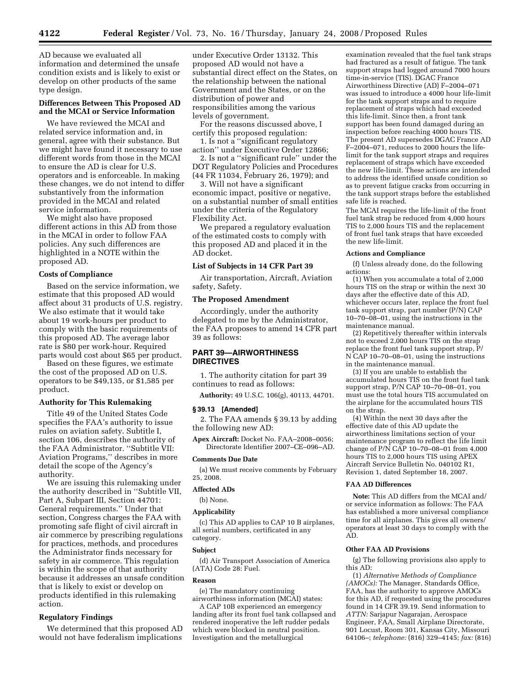AD because we evaluated all information and determined the unsafe condition exists and is likely to exist or develop on other products of the same type design.

# **Differences Between This Proposed AD and the MCAI or Service Information**

We have reviewed the MCAI and related service information and, in general, agree with their substance. But we might have found it necessary to use different words from those in the MCAI to ensure the AD is clear for U.S. operators and is enforceable. In making these changes, we do not intend to differ substantively from the information provided in the MCAI and related service information.

We might also have proposed different actions in this AD from those in the MCAI in order to follow FAA policies. Any such differences are highlighted in a NOTE within the proposed AD.

## **Costs of Compliance**

Based on the service information, we estimate that this proposed AD would affect about 31 products of U.S. registry. We also estimate that it would take about 19 work-hours per product to comply with the basic requirements of this proposed AD. The average labor rate is \$80 per work-hour. Required parts would cost about \$65 per product.

Based on these figures, we estimate the cost of the proposed AD on U.S. operators to be \$49,135, or \$1,585 per product.

## **Authority for This Rulemaking**

Title 49 of the United States Code specifies the FAA's authority to issue rules on aviation safety. Subtitle I, section 106, describes the authority of the FAA Administrator. ''Subtitle VII: Aviation Programs,'' describes in more detail the scope of the Agency's authority.

We are issuing this rulemaking under the authority described in ''Subtitle VII, Part A, Subpart III, Section 44701: General requirements.'' Under that section, Congress charges the FAA with promoting safe flight of civil aircraft in air commerce by prescribing regulations for practices, methods, and procedures the Administrator finds necessary for safety in air commerce. This regulation is within the scope of that authority because it addresses an unsafe condition that is likely to exist or develop on products identified in this rulemaking action.

# **Regulatory Findings**

We determined that this proposed AD would not have federalism implications

under Executive Order 13132. This proposed AD would not have a substantial direct effect on the States, on the relationship between the national Government and the States, or on the distribution of power and responsibilities among the various levels of government.

For the reasons discussed above, I certify this proposed regulation:

1. Is not a ''significant regulatory action'' under Executive Order 12866;

2. Is not a ''significant rule'' under the DOT Regulatory Policies and Procedures (44 FR 11034, February 26, 1979); and

3. Will not have a significant economic impact, positive or negative, on a substantial number of small entities under the criteria of the Regulatory Flexibility Act.

We prepared a regulatory evaluation of the estimated costs to comply with this proposed AD and placed it in the AD docket.

## **List of Subjects in 14 CFR Part 39**

Air transportation, Aircraft, Aviation safety, Safety.

# **The Proposed Amendment**

Accordingly, under the authority delegated to me by the Administrator, the FAA proposes to amend 14 CFR part 39 as follows:

# **PART 39—AIRWORTHINESS DIRECTIVES**

1. The authority citation for part 39 continues to read as follows:

**Authority:** 49 U.S.C. 106(g), 40113, 44701.

## **§ 39.13 [Amended]**

2. The FAA amends § 39.13 by adding the following new AD:

**Apex Aircraft:** Docket No. FAA–2008–0056; Directorate Identifier 2007–CE–096–AD.

#### **Comments Due Date**

(a) We must receive comments by February 25, 2008.

## **Affected ADs**

(b) None.

#### **Applicability**

(c) This AD applies to CAP 10 B airplanes, all serial numbers, certificated in any category.

#### **Subject**

(d) Air Transport Association of America (ATA) Code 28: Fuel.

## **Reason**

(e) The mandatory continuing airworthiness information (MCAI) states:

A CAP 10B experienced an emergency landing after its front fuel tank collapsed and rendered inoperative the left rudder pedals which were blocked in neutral position. Investigation and the metallurgical

examination revealed that the fuel tank straps had fractured as a result of fatigue. The tank support straps had logged around 7000 hours time-in-service (TIS). DGAC France Airworthiness Directive (AD) F–2004–071 was issued to introduce a 4000 hour life-limit for the tank support straps and to require replacement of straps which had exceeded this life-limit. Since then, a front tank support has been found damaged during an inspection before reaching 4000 hours TIS. The present AD supersedes DGAC France AD F–2004–071, reduces to 2000 hours the lifelimit for the tank support straps and requires replacement of straps which have exceeded the new life-limit. These actions are intended to address the identified unsafe condition so as to prevent fatigue cracks from occurring in the tank support straps before the established safe life is reached.

The MCAI requires the life-limit of the front fuel tank strap be reduced from 4,000 hours TIS to 2,000 hours TIS and the replacement of front fuel tank straps that have exceeded the new life-limit.

## **Actions and Compliance**

(f) Unless already done, do the following actions:

(1) When you accumulate a total of 2,000 hours TIS on the strap or within the next 30 days after the effective date of this AD, whichever occurs later, replace the front fuel tank support strap, part number (P/N) CAP 10–70–08–01, using the instructions in the maintenance manual.

(2) Repetitively thereafter within intervals not to exceed 2,000 hours TIS on the strap replace the front fuel tank support strap, P/ N CAP 10–70–08–01, using the instructions in the maintenance manual.

(3) If you are unable to establish the accumulated hours TIS on the front fuel tank support strap, P/N CAP 10–70–08–01, you must use the total hours TIS accumulated on the airplane for the accumulated hours TIS on the strap.

(4) Within the next 30 days after the effective date of this AD update the airworthiness limitations section of your maintenance program to reflect the life limit change of P/N CAP 10–70–08–01 from 4,000 hours TIS to 2,000 hours TIS using APEX Aircraft Service Bulletin No. 040102 R1, Revision 1, dated September 18, 2007.

## **FAA AD Differences**

**Note:** This AD differs from the MCAI and/ or service information as follows: The FAA has established a more universal compliance time for all airplanes. This gives all owners/ operators at least 30 days to comply with the AD.

## **Other FAA AD Provisions**

(g) The following provisions also apply to this AD:

(1) *Alternative Methods of Compliance (AMOCs):* The Manager, Standards Office, FAA, has the authority to approve AMOCs for this AD, if requested using the procedures found in 14 CFR 39.19. Send information to *ATTN:* Sarjapur Nagarajan, Aerospace Engineer, FAA, Small Airplane Directorate, 901 Locust, Room 301, Kansas City, Missouri 64106–; *telephone:* (816) 329–4145; *fax:* (816)